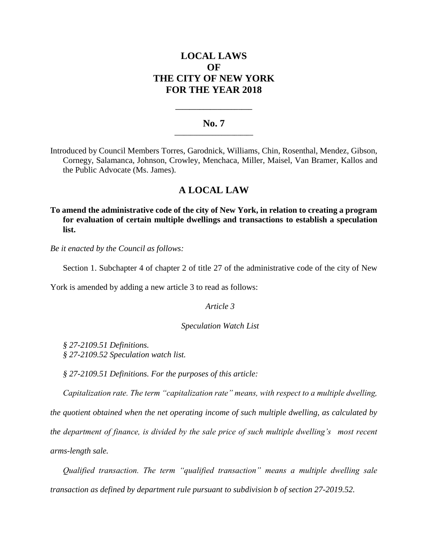# **LOCAL LAWS OF THE CITY OF NEW YORK FOR THE YEAR 2018**

## **No. 7 \_\_\_\_\_\_\_\_\_\_\_\_\_\_\_\_\_\_\_\_\_\_\_\_\_**

**\_\_\_\_\_\_\_\_\_\_\_\_\_\_\_\_\_\_\_\_\_\_**

Introduced by Council Members Torres, Garodnick, Williams, Chin, Rosenthal, Mendez, Gibson, Cornegy, Salamanca, Johnson, Crowley, Menchaca, Miller, Maisel, Van Bramer, Kallos and the Public Advocate (Ms. James).

# **A LOCAL LAW**

**To amend the administrative code of the city of New York, in relation to creating a program for evaluation of certain multiple dwellings and transactions to establish a speculation list.**

*Be it enacted by the Council as follows:*

Section 1. Subchapter 4 of chapter 2 of title 27 of the administrative code of the city of New

York is amended by adding a new article 3 to read as follows:

*Article 3*

*Speculation Watch List*

*§ 27-2109.51 Definitions. § 27-2109.52 Speculation watch list.*

*§ 27-2109.51 Definitions. For the purposes of this article:* 

*Capitalization rate. The term "capitalization rate" means, with respect to a multiple dwelling, the quotient obtained when the net operating income of such multiple dwelling, as calculated by the department of finance, is divided by the sale price of such multiple dwelling's most recent arms-length sale.*

*Qualified transaction. The term "qualified transaction" means a multiple dwelling sale transaction as defined by department rule pursuant to subdivision b of section 27-2019.52.*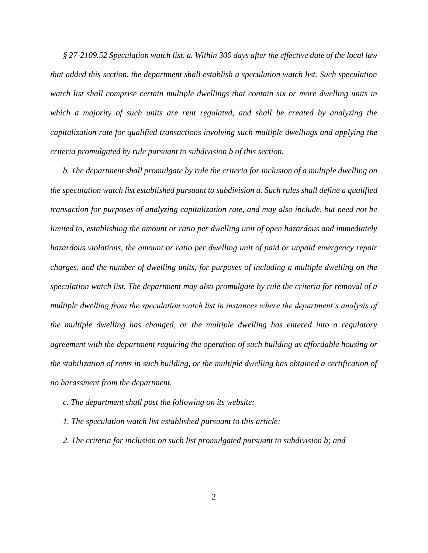*§ 27-2109.52 Speculation watch list. a. Within 300 days after the effective date of the local law that added this section, the department shall establish a speculation watch list. Such speculation watch list shall comprise certain multiple dwellings that contain six or more dwelling units in which a majority of such units are rent regulated, and shall be created by analyzing the capitalization rate for qualified transactions involving such multiple dwellings and applying the criteria promulgated by rule pursuant to subdivision b of this section.* 

*b. The department shall promulgate by rule the criteria for inclusion of a multiple dwelling on the speculation watch list established pursuant to subdivision a. Such rules shall define a qualified transaction for purposes of analyzing capitalization rate, and may also include, but need not be limited to, establishing the amount or ratio per dwelling unit of open hazardous and immediately hazardous violations, the amount or ratio per dwelling unit of paid or unpaid emergency repair charges, and the number of dwelling units, for purposes of including a multiple dwelling on the speculation watch list. The department may also promulgate by rule the criteria for removal of a multiple dwelling from the speculation watch list in instances where the department's analysis of the multiple dwelling has changed, or the multiple dwelling has entered into a regulatory agreement with the department requiring the operation of such building as affordable housing or the stabilization of rents in such building, or the multiple dwelling has obtained a certification of no harassment from the department.*

- *c. The department shall post the following on its website:*
- *1. The speculation watch list established pursuant to this article;*
- *2. The criteria for inclusion on such list promulgated pursuant to subdivision b; and*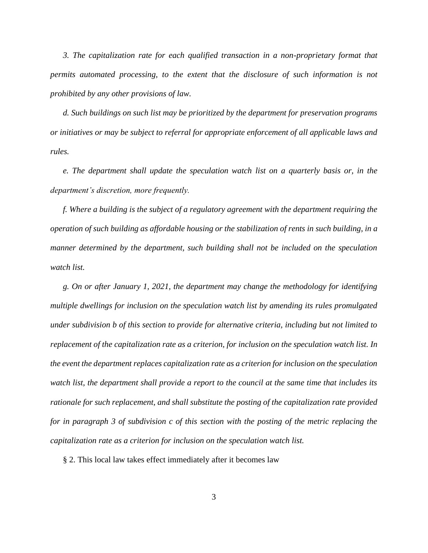*3. The capitalization rate for each qualified transaction in a non-proprietary format that permits automated processing, to the extent that the disclosure of such information is not prohibited by any other provisions of law.* 

*d. Such buildings on such list may be prioritized by the department for preservation programs or initiatives or may be subject to referral for appropriate enforcement of all applicable laws and rules.* 

*e. The department shall update the speculation watch list on a quarterly basis or, in the department's discretion, more frequently.*

*f. Where a building is the subject of a regulatory agreement with the department requiring the operation of such building as affordable housing or the stabilization of rents in such building, in a manner determined by the department, such building shall not be included on the speculation watch list.*

*g. On or after January 1, 2021, the department may change the methodology for identifying multiple dwellings for inclusion on the speculation watch list by amending its rules promulgated under subdivision b of this section to provide for alternative criteria, including but not limited to replacement of the capitalization rate as a criterion, for inclusion on the speculation watch list. In the event the department replaces capitalization rate as a criterion for inclusion on the speculation watch list, the department shall provide a report to the council at the same time that includes its rationale for such replacement, and shall substitute the posting of the capitalization rate provided for in paragraph 3 of subdivision c of this section with the posting of the metric replacing the capitalization rate as a criterion for inclusion on the speculation watch list.*

§ 2. This local law takes effect immediately after it becomes law